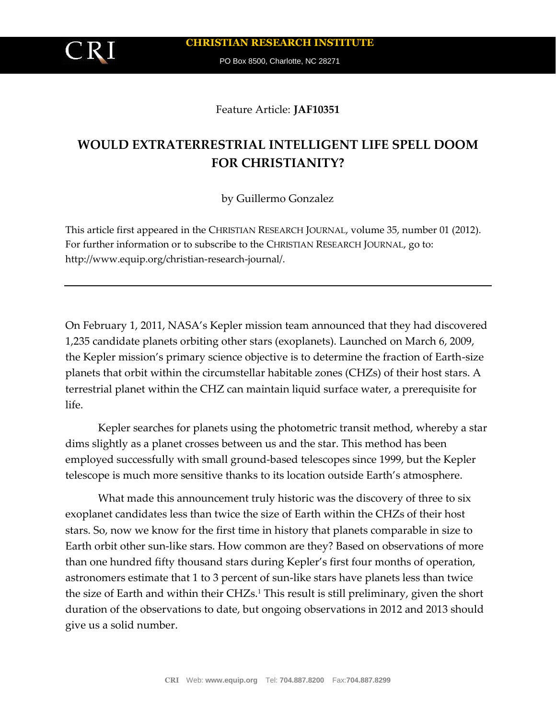**CHRISTIAN RESEARCH INSTITUTE**

PO Box 8500, Charlotte, NC 28271

Feature Article: **JAF10351**

# **WOULD EXTRATERRESTRIAL INTELLIGENT LIFE SPELL DOOM FOR CHRISTIANITY?**

by Guillermo Gonzalez

This article first appeared in the CHRISTIAN RESEARCH JOURNAL, volume 35, number 01 (2012). For further information or to subscribe to the CHRISTIAN RESEARCH JOURNAL, go to: http://www.equip.org/christian-research-journal/.

On February 1, 2011, NASA's Kepler mission team announced that they had discovered 1,235 candidate planets orbiting other stars (exoplanets). Launched on March 6, 2009, the Kepler mission's primary science objective is to determine the fraction of Earth-size planets that orbit within the circumstellar habitable zones (CHZs) of their host stars. A terrestrial planet within the CHZ can maintain liquid surface water, a prerequisite for life.

Kepler searches for planets using the photometric transit method, whereby a star dims slightly as a planet crosses between us and the star. This method has been employed successfully with small ground-based telescopes since 1999, but the Kepler telescope is much more sensitive thanks to its location outside Earth's atmosphere.

What made this announcement truly historic was the discovery of three to six exoplanet candidates less than twice the size of Earth within the CHZs of their host stars. So, now we know for the first time in history that planets comparable in size to Earth orbit other sun-like stars. How common are they? Based on observations of more than one hundred fifty thousand stars during Kepler's first four months of operation, astronomers estimate that 1 to 3 percent of sun-like stars have planets less than twice the size of Earth and within their CHZs.<sup>1</sup> This result is still preliminary, given the short duration of the observations to date, but ongoing observations in 2012 and 2013 should give us a solid number.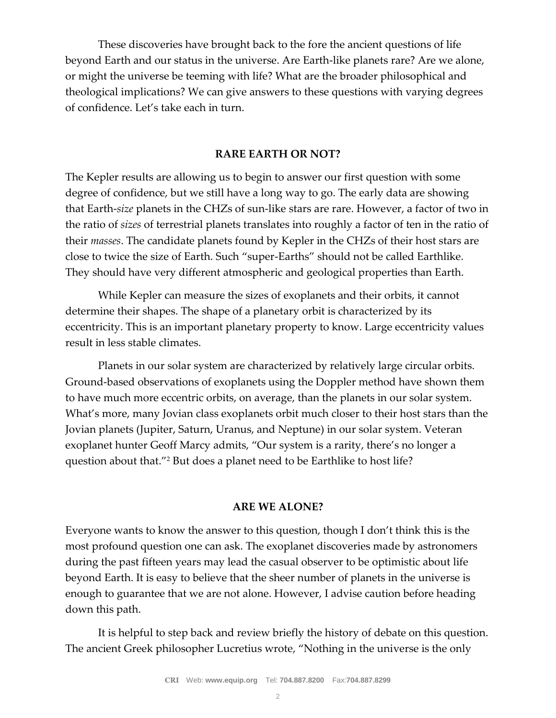These discoveries have brought back to the fore the ancient questions of life beyond Earth and our status in the universe. Are Earth-like planets rare? Are we alone, or might the universe be teeming with life? What are the broader philosophical and theological implications? We can give answers to these questions with varying degrees of confidence. Let's take each in turn.

## **RARE EARTH OR NOT?**

The Kepler results are allowing us to begin to answer our first question with some degree of confidence, but we still have a long way to go. The early data are showing that Earth-*size* planets in the CHZs of sun-like stars are rare. However, a factor of two in the ratio of *sizes* of terrestrial planets translates into roughly a factor of ten in the ratio of their *masses*. The candidate planets found by Kepler in the CHZs of their host stars are close to twice the size of Earth. Such "super-Earths" should not be called Earthlike. They should have very different atmospheric and geological properties than Earth.

While Kepler can measure the sizes of exoplanets and their orbits, it cannot determine their shapes. The shape of a planetary orbit is characterized by its eccentricity. This is an important planetary property to know. Large eccentricity values result in less stable climates.

Planets in our solar system are characterized by relatively large circular orbits. Ground-based observations of exoplanets using the Doppler method have shown them to have much more eccentric orbits, on average, than the planets in our solar system. What's more, many Jovian class exoplanets orbit much closer to their host stars than the Jovian planets (Jupiter, Saturn, Uranus, and Neptune) in our solar system. Veteran exoplanet hunter Geoff Marcy admits, "Our system is a rarity, there's no longer a question about that."<sup>2</sup> But does a planet need to be Earthlike to host life?

#### **ARE WE ALONE?**

Everyone wants to know the answer to this question, though I don't think this is the most profound question one can ask. The exoplanet discoveries made by astronomers during the past fifteen years may lead the casual observer to be optimistic about life beyond Earth. It is easy to believe that the sheer number of planets in the universe is enough to guarantee that we are not alone. However, I advise caution before heading down this path.

It is helpful to step back and review briefly the history of debate on this question. The ancient Greek philosopher Lucretius wrote, "Nothing in the universe is the only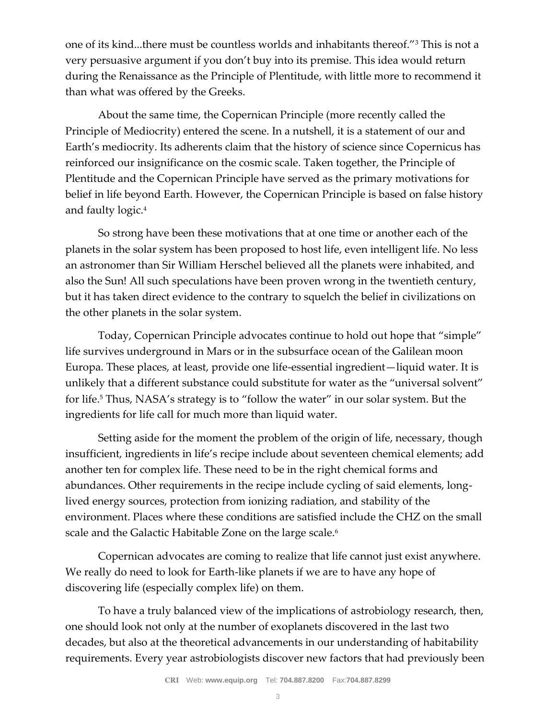one of its kind...there must be countless worlds and inhabitants thereof."<sup>3</sup> This is not a very persuasive argument if you don't buy into its premise. This idea would return during the Renaissance as the Principle of Plentitude, with little more to recommend it than what was offered by the Greeks.

About the same time, the Copernican Principle (more recently called the Principle of Mediocrity) entered the scene. In a nutshell, it is a statement of our and Earth's mediocrity. Its adherents claim that the history of science since Copernicus has reinforced our insignificance on the cosmic scale. Taken together, the Principle of Plentitude and the Copernican Principle have served as the primary motivations for belief in life beyond Earth. However, the Copernican Principle is based on false history and faulty logic.<sup>4</sup>

So strong have been these motivations that at one time or another each of the planets in the solar system has been proposed to host life, even intelligent life. No less an astronomer than Sir William Herschel believed all the planets were inhabited, and also the Sun! All such speculations have been proven wrong in the twentieth century, but it has taken direct evidence to the contrary to squelch the belief in civilizations on the other planets in the solar system.

Today, Copernican Principle advocates continue to hold out hope that "simple" life survives underground in Mars or in the subsurface ocean of the Galilean moon Europa. These places, at least, provide one life-essential ingredient—liquid water. It is unlikely that a different substance could substitute for water as the "universal solvent" for life.<sup>5</sup> Thus, NASA's strategy is to "follow the water" in our solar system. But the ingredients for life call for much more than liquid water.

Setting aside for the moment the problem of the origin of life, necessary, though insufficient, ingredients in life's recipe include about seventeen chemical elements; add another ten for complex life. These need to be in the right chemical forms and abundances. Other requirements in the recipe include cycling of said elements, longlived energy sources, protection from ionizing radiation, and stability of the environment. Places where these conditions are satisfied include the CHZ on the small scale and the Galactic Habitable Zone on the large scale.<sup>6</sup>

Copernican advocates are coming to realize that life cannot just exist anywhere. We really do need to look for Earth-like planets if we are to have any hope of discovering life (especially complex life) on them.

To have a truly balanced view of the implications of astrobiology research, then, one should look not only at the number of exoplanets discovered in the last two decades, but also at the theoretical advancements in our understanding of habitability requirements. Every year astrobiologists discover new factors that had previously been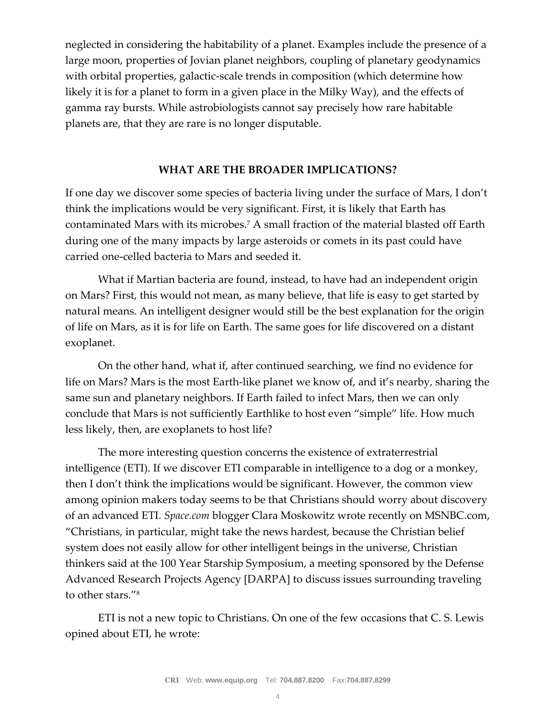neglected in considering the habitability of a planet. Examples include the presence of a large moon, properties of Jovian planet neighbors, coupling of planetary geodynamics with orbital properties, galactic-scale trends in composition (which determine how likely it is for a planet to form in a given place in the Milky Way), and the effects of gamma ray bursts. While astrobiologists cannot say precisely how rare habitable planets are, that they are rare is no longer disputable.

### **WHAT ARE THE BROADER IMPLICATIONS?**

If one day we discover some species of bacteria living under the surface of Mars, I don't think the implications would be very significant. First, it is likely that Earth has contaminated Mars with its microbes.<sup>7</sup> A small fraction of the material blasted off Earth during one of the many impacts by large asteroids or comets in its past could have carried one-celled bacteria to Mars and seeded it.

What if Martian bacteria are found, instead, to have had an independent origin on Mars? First, this would not mean, as many believe, that life is easy to get started by natural means. An intelligent designer would still be the best explanation for the origin of life on Mars, as it is for life on Earth. The same goes for life discovered on a distant exoplanet.

On the other hand, what if, after continued searching, we find no evidence for life on Mars? Mars is the most Earth-like planet we know of, and it's nearby, sharing the same sun and planetary neighbors. If Earth failed to infect Mars, then we can only conclude that Mars is not sufficiently Earthlike to host even "simple" life. How much less likely, then, are exoplanets to host life?

The more interesting question concerns the existence of extraterrestrial intelligence (ETI). If we discover ETI comparable in intelligence to a dog or a monkey, then I don't think the implications would be significant. However, the common view among opinion makers today seems to be that Christians should worry about discovery of an advanced ETI. *Space.com* blogger Clara Moskowitz wrote recently on MSNBC.com, "Christians, in particular, might take the news hardest, because the Christian belief system does not easily allow for other intelligent beings in the universe, Christian thinkers said at the 100 Year Starship Symposium, a meeting sponsored by the Defense Advanced Research Projects Agency [DARPA] to discuss issues surrounding traveling to other stars."<sup>8</sup>

ETI is not a new topic to Christians. On one of the few occasions that C. S. Lewis opined about ETI, he wrote: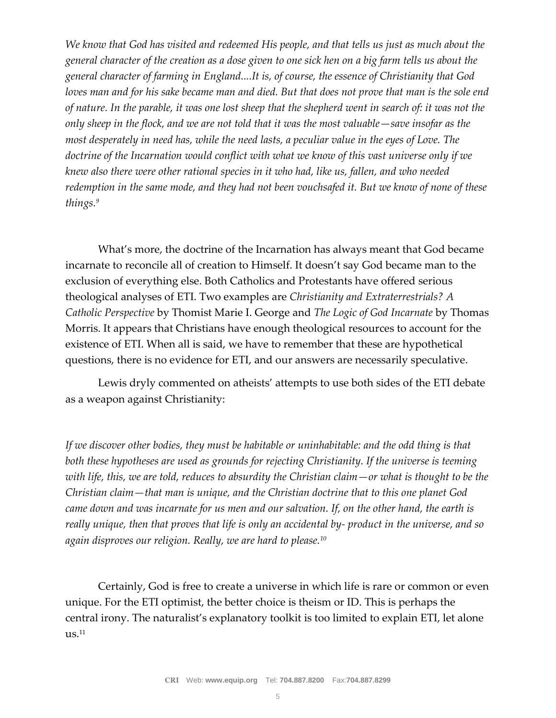*We know that God has visited and redeemed His people, and that tells us just as much about the general character of the creation as a dose given to one sick hen on a big farm tells us about the general character of farming in England....It is, of course, the essence of Christianity that God loves man and for his sake became man and died. But that does not prove that man is the sole end of nature. In the parable, it was one lost sheep that the shepherd went in search of: it was not the only sheep in the flock, and we are not told that it was the most valuable—save insofar as the most desperately in need has, while the need lasts, a peculiar value in the eyes of Love. The doctrine of the Incarnation would conflict with what we know of this vast universe only if we knew also there were other rational species in it who had, like us, fallen, and who needed redemption in the same mode, and they had not been vouchsafed it. But we know of none of these things.<sup>9</sup>*

What's more, the doctrine of the Incarnation has always meant that God became incarnate to reconcile all of creation to Himself. It doesn't say God became man to the exclusion of everything else. Both Catholics and Protestants have offered serious theological analyses of ETI. Two examples are *Christianity and Extraterrestrials? A Catholic Perspective* by Thomist Marie I. George and *The Logic of God Incarnate* by Thomas Morris. It appears that Christians have enough theological resources to account for the existence of ETI. When all is said, we have to remember that these are hypothetical questions, there is no evidence for ETI, and our answers are necessarily speculative.

Lewis dryly commented on atheists' attempts to use both sides of the ETI debate as a weapon against Christianity:

*If we discover other bodies, they must be habitable or uninhabitable: and the odd thing is that both these hypotheses are used as grounds for rejecting Christianity. If the universe is teeming with life, this, we are told, reduces to absurdity the Christian claim—or what is thought to be the Christian claim—that man is unique, and the Christian doctrine that to this one planet God came down and was incarnate for us men and our salvation. If, on the other hand, the earth is really unique, then that proves that life is only an accidental by- product in the universe, and so again disproves our religion. Really, we are hard to please.<sup>10</sup>*

Certainly, God is free to create a universe in which life is rare or common or even unique. For the ETI optimist, the better choice is theism or ID. This is perhaps the central irony. The naturalist's explanatory toolkit is too limited to explain ETI, let alone  $\text{us}.^{11}$